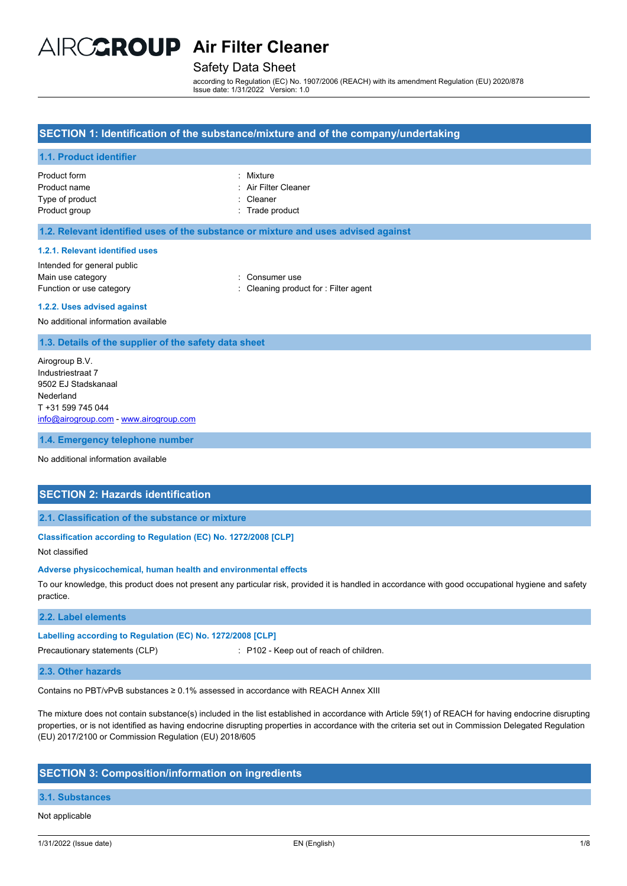# AIRCCROUP Air Filter Cleaner

## Safety Data Sheet

according to Regulation (EC) No. 1907/2006 (REACH) with its amendment Regulation (EU) 2020/878 Issue date: 1/31/2022 Version: 1.0

## **SECTION 1: Identification of the substance/mixture and of the company/undertaking**

## **1.1. Product identifier**

| : Mixture            |
|----------------------|
|                      |
| : Air Filter Cleaner |
| : Cleaner            |
| : Trade product      |
|                      |

## **1.2. Relevant identified uses of the substance or mixture and uses advised against**

#### **1.2.1. Relevant identified uses**

Intended for general public Main use category **Example 20** and 20 and 20 and 20 and 20 and 20 and 20 and 20 and 20 and 20 and 20 and 20 and 20 and 20 and 20 and 20 and 20 and 20 and 20 and 20 and 20 and 20 and 20 and 20 and 20 and 20 and 20 and 20 an Function or use category **Exercise 20** Function or use category **in the case of the Cleaning product for : Filter agent** 

#### **1.2.2. Uses advised against**

No additional information available

#### **1.3. Details of the supplier of the safety data sheet**

Airogroup B.V. Industriestraat 7 9502 EJ Stadskanaal Nederland T +31 599 745 044 [info@airogroup.com](mailto:info@airogroup.com) - [www.airogroup.com](http://www.airogroup.com/)

**1.4. Emergency telephone number**

No additional information available

## **SECTION 2: Hazards identification**

## **2.1. Classification of the substance or mixture**

### **Classification according to Regulation (EC) No. 1272/2008 [CLP]**

Not classified

#### **Adverse physicochemical, human health and environmental effects**

To our knowledge, this product does not present any particular risk, provided it is handled in accordance with good occupational hygiene and safety practice.

### **2.2. Label elements**

#### **Labelling according to Regulation (EC) No. 1272/2008 [CLP]**

Precautionary statements (CLP) : P102 - Keep out of reach of children.

#### **2.3. Other hazards**

Contains no PBT/vPvB substances ≥ 0.1% assessed in accordance with REACH Annex XIII

The mixture does not contain substance(s) included in the list established in accordance with Article 59(1) of REACH for having endocrine disrupting properties, or is not identified as having endocrine disrupting properties in accordance with the criteria set out in Commission Delegated Regulation (EU) 2017/2100 or Commission Regulation (EU) 2018/605

## **SECTION 3: Composition/information on ingredients**

#### **3.1. Substances**

#### Not applicable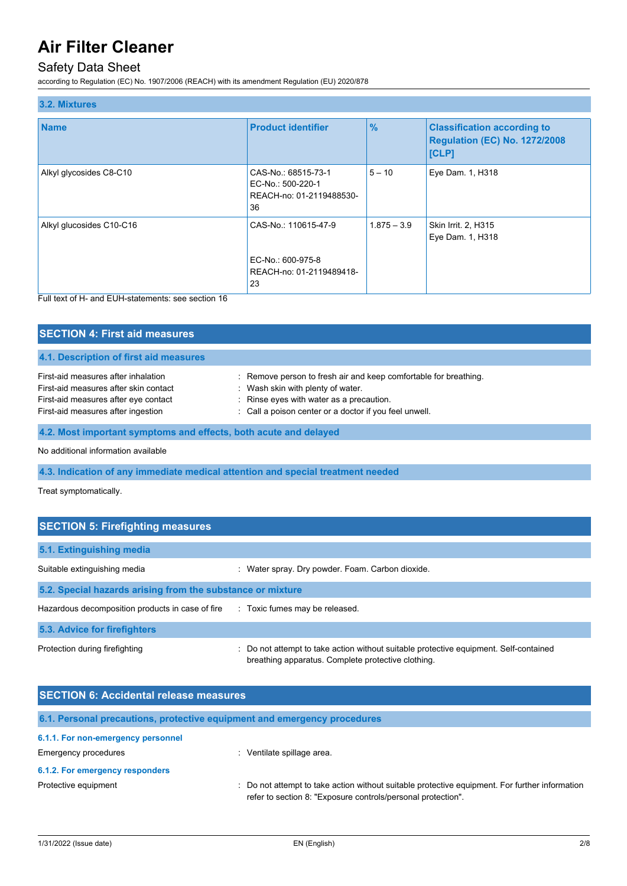## Safety Data Sheet

according to Regulation (EC) No. 1907/2006 (REACH) with its amendment Regulation (EU) 2020/878

| 3.2. Mixtures            |                                                                             |               |                                                                                     |
|--------------------------|-----------------------------------------------------------------------------|---------------|-------------------------------------------------------------------------------------|
| <b>Name</b>              | <b>Product identifier</b>                                                   | $\frac{9}{6}$ | <b>Classification according to</b><br><b>Regulation (EC) No. 1272/2008</b><br>[CLP] |
| Alkyl glycosides C8-C10  | CAS-No.: 68515-73-1<br>EC-No.: 500-220-1<br>REACH-no: 01-2119488530-<br>36  | $5 - 10$      | Eye Dam. 1, H318                                                                    |
| Alkyl glucosides C10-C16 | CAS-No.: 110615-47-9<br>EC-No.: 600-975-8<br>REACH-no: 01-2119489418-<br>23 | $1.875 - 3.9$ | Skin Irrit. 2, H315<br>Eye Dam. 1, H318                                             |

Full text of H- and EUH-statements: see section 16

| <b>SECTION 4: First aid measures</b>                                                                                                                       |                                                                                                                                                                                                             |
|------------------------------------------------------------------------------------------------------------------------------------------------------------|-------------------------------------------------------------------------------------------------------------------------------------------------------------------------------------------------------------|
| 4.1. Description of first aid measures                                                                                                                     |                                                                                                                                                                                                             |
| First-aid measures after inhalation<br>First-aid measures after skin contact<br>First-aid measures after eye contact<br>First-aid measures after ingestion | : Remove person to fresh air and keep comfortable for breathing.<br>: Wash skin with plenty of water.<br>: Rinse eyes with water as a precaution.<br>: Call a poison center or a doctor if you feel unwell. |

## **4.2. Most important symptoms and effects, both acute and delayed**

No additional information available

## **4.3. Indication of any immediate medical attention and special treatment needed**

Treat symptomatically.

| <b>SECTION 5: Firefighting measures</b>                    |                                                                                                                                             |
|------------------------------------------------------------|---------------------------------------------------------------------------------------------------------------------------------------------|
| 5.1. Extinguishing media                                   |                                                                                                                                             |
| Suitable extinguishing media                               | : Water spray. Dry powder. Foam. Carbon dioxide.                                                                                            |
| 5.2. Special hazards arising from the substance or mixture |                                                                                                                                             |
| Hazardous decomposition products in case of fire           | : Toxic fumes may be released.                                                                                                              |
| 5.3. Advice for firefighters                               |                                                                                                                                             |
| Protection during firefighting                             | : Do not attempt to take action without suitable protective equipment. Self-contained<br>breathing apparatus. Complete protective clothing. |

| <b>SECTION 6: Accidental release measures</b>                            |                                                                                                                                                                |
|--------------------------------------------------------------------------|----------------------------------------------------------------------------------------------------------------------------------------------------------------|
| 6.1. Personal precautions, protective equipment and emergency procedures |                                                                                                                                                                |
| 6.1.1. For non-emergency personnel                                       |                                                                                                                                                                |
| <b>Emergency procedures</b>                                              | Ventilate spillage area.                                                                                                                                       |
| 6.1.2. For emergency responders                                          |                                                                                                                                                                |
| Protective equipment                                                     | : Do not attempt to take action without suitable protective equipment. For further information<br>refer to section 8: "Exposure controls/personal protection". |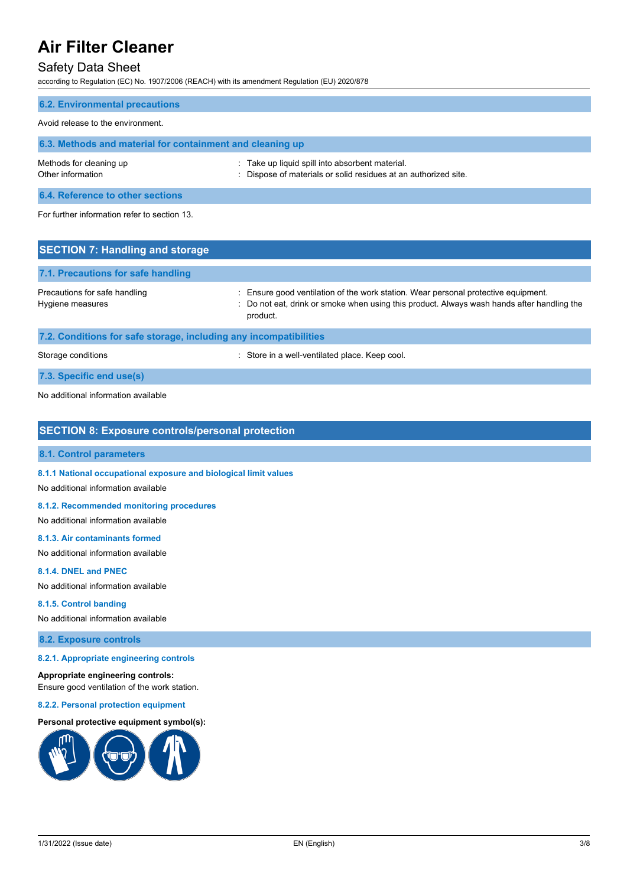## Safety Data Sheet

according to Regulation (EC) No. 1907/2006 (REACH) with its amendment Regulation (EU) 2020/878

| <b>6.2. Environmental precautions</b>                     |                                                                                                                    |
|-----------------------------------------------------------|--------------------------------------------------------------------------------------------------------------------|
| Avoid release to the environment.                         |                                                                                                                    |
| 6.3. Methods and material for containment and cleaning up |                                                                                                                    |
| Methods for cleaning up<br>Other information              | : Take up liquid spill into absorbent material.<br>: Dispose of materials or solid residues at an authorized site. |
| 6.4. Reference to other sections                          |                                                                                                                    |
| For further information refer to section 13.              |                                                                                                                    |
| <b>SECTION 7: Handling and storage</b>                    |                                                                                                                    |
| 1974 - Pous a acceleración de la cada de acceleración     |                                                                                                                    |

| 7.1. Precautions for safe handling                                |                                                                                                                                                                                            |
|-------------------------------------------------------------------|--------------------------------------------------------------------------------------------------------------------------------------------------------------------------------------------|
| Precautions for safe handling<br>Hygiene measures                 | Ensure good ventilation of the work station. Wear personal protective equipment.<br>: Do not eat, drink or smoke when using this product. Always wash hands after handling the<br>product. |
| 7.2. Conditions for safe storage, including any incompatibilities |                                                                                                                                                                                            |

Storage conditions **Storage conditions** : Store in a well-ventilated place. Keep cool.

**7.3. Specific end use(s)**

No additional information available

## **SECTION 8: Exposure controls/personal protection**

## **8.1. Control parameters**

**8.1.1 National occupational exposure and biological limit values**

No additional information available

#### **8.1.2. Recommended monitoring procedures**

No additional information available

## **8.1.3. Air contaminants formed**

No additional information available

## **8.1.4. DNEL and PNEC**

No additional information available

## **8.1.5. Control banding**

No additional information available

## **8.2. Exposure controls**

#### **8.2.1. Appropriate engineering controls**

#### **Appropriate engineering controls:**

Ensure good ventilation of the work station.

#### **8.2.2. Personal protection equipment**

## **Personal protective equipment symbol(s):**

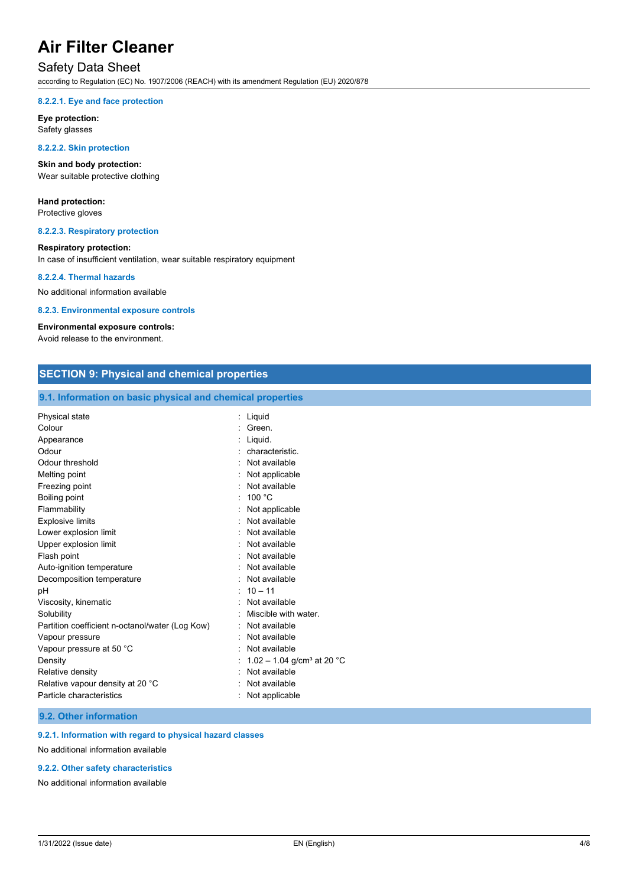## Safety Data Sheet

according to Regulation (EC) No. 1907/2006 (REACH) with its amendment Regulation (EU) 2020/878

#### **8.2.2.1. Eye and face protection**

**Eye protection:** Safety glasses

#### **8.2.2.2. Skin protection**

**Skin and body protection:** Wear suitable protective clothing

## **Hand protection:**

Protective gloves

### **8.2.2.3. Respiratory protection**

## **Respiratory protection:**

In case of insufficient ventilation, wear suitable respiratory equipment

### **8.2.2.4. Thermal hazards**

No additional information available

#### **8.2.3. Environmental exposure controls**

## **Environmental exposure controls:**

Avoid release to the environment.

| <b>SECTION 9: Physical and chemical properties</b>         |                                            |
|------------------------------------------------------------|--------------------------------------------|
| 9.1. Information on basic physical and chemical properties |                                            |
| Physical state                                             | : Liquid                                   |
| Colour                                                     | Green.                                     |
| Appearance                                                 | Liquid.                                    |
| Odour                                                      | characteristic.                            |
| Odour threshold                                            | Not available                              |
| Melting point                                              | Not applicable                             |
| Freezing point                                             | Not available                              |
| Boiling point                                              | 100 °C                                     |
| Flammability                                               | Not applicable                             |
| <b>Explosive limits</b>                                    | Not available                              |
| Lower explosion limit                                      | Not available                              |
| Upper explosion limit                                      | Not available                              |
| Flash point                                                | Not available                              |
| Auto-ignition temperature                                  | Not available                              |
| Decomposition temperature                                  | Not available                              |
| pH                                                         | $: 10 - 11$                                |
| Viscosity, kinematic                                       | Not available                              |
| Solubility                                                 | Miscible with water.                       |
| Partition coefficient n-octanol/water (Log Kow)            | Not available                              |
| Vapour pressure                                            | Not available                              |
| Vapour pressure at 50 °C                                   | Not available                              |
| Density                                                    | : $1.02 - 1.04$ g/cm <sup>3</sup> at 20 °C |
| Relative density                                           | Not available                              |
| Relative vapour density at 20 °C                           | Not available                              |
| Particle characteristics                                   | Not applicable                             |
|                                                            |                                            |

## **9.2. Other information**

## **9.2.1. Information with regard to physical hazard classes**

No additional information available

### **9.2.2. Other safety characteristics**

No additional information available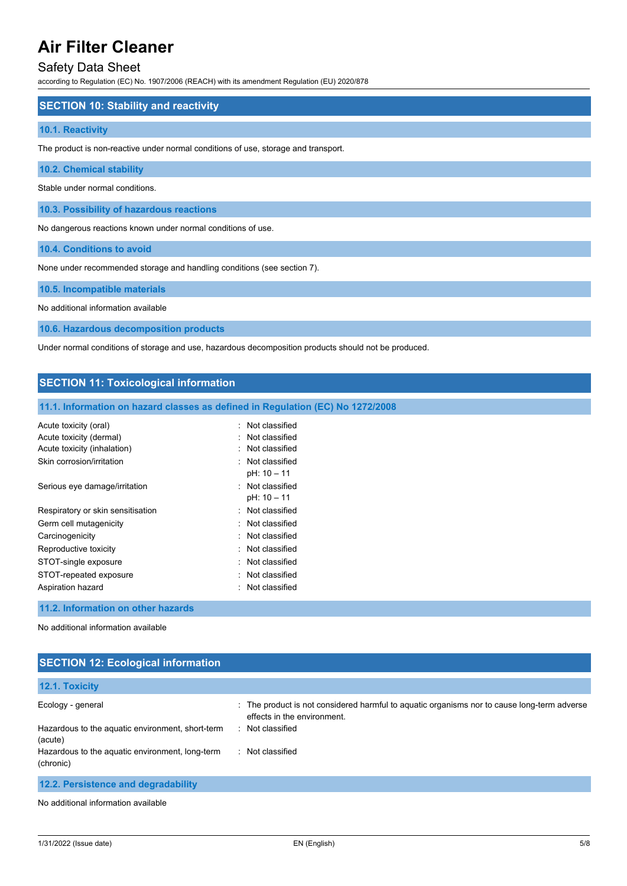## Safety Data Sheet

according to Regulation (EC) No. 1907/2006 (REACH) with its amendment Regulation (EU) 2020/878

## **SECTION 10: Stability and reactivity**

### **10.1. Reactivity**

The product is non-reactive under normal conditions of use, storage and transport.

**10.2. Chemical stability**

Stable under normal conditions.

**10.3. Possibility of hazardous reactions**

No dangerous reactions known under normal conditions of use.

**10.4. Conditions to avoid**

None under recommended storage and handling conditions (see section 7).

### **10.5. Incompatible materials**

No additional information available

**10.6. Hazardous decomposition products**

Under normal conditions of storage and use, hazardous decomposition products should not be produced.

| <b>SECTION 11: Toxicological information</b> |                                                                                |
|----------------------------------------------|--------------------------------------------------------------------------------|
|                                              | 11.1. Information on hazard classes as defined in Regulation (EC) No 1272/2008 |
| Acute toxicity (oral)                        | Not classified                                                                 |
| Acute toxicity (dermal)                      | Not classified                                                                 |
| Acute toxicity (inhalation)                  | : Not classified                                                               |
| Skin corrosion/irritation                    | : Not classified<br>pH: 10 - 11                                                |
| Serious eye damage/irritation                | : Not classified<br>pH: 10 - 11                                                |
| Respiratory or skin sensitisation            | : Not classified                                                               |
| Germ cell mutagenicity                       | : Not classified                                                               |
| Carcinogenicity                              | Not classified                                                                 |
| Reproductive toxicity                        | : Not classified                                                               |
| STOT-single exposure                         | : Not classified                                                               |
| STOT-repeated exposure                       | Not classified                                                                 |
| Aspiration hazard                            | Not classified<br>$\sim$                                                       |
| 11.2. Information on other hazards           |                                                                                |
|                                              |                                                                                |

No additional information available

## **SECTION 12: Ecological information**

| <b>12.1. Toxicity</b>                                        |                                                                                                                            |
|--------------------------------------------------------------|----------------------------------------------------------------------------------------------------------------------------|
| Ecology - general                                            | : The product is not considered harmful to aquatic organisms nor to cause long-term adverse<br>effects in the environment. |
| Hazardous to the aquatic environment, short-term<br>(acute)  | : Not classified                                                                                                           |
| Hazardous to the aquatic environment, long-term<br>(chronic) | : Not classified                                                                                                           |
| 12.2. Persistence and degradability                          |                                                                                                                            |

No additional information available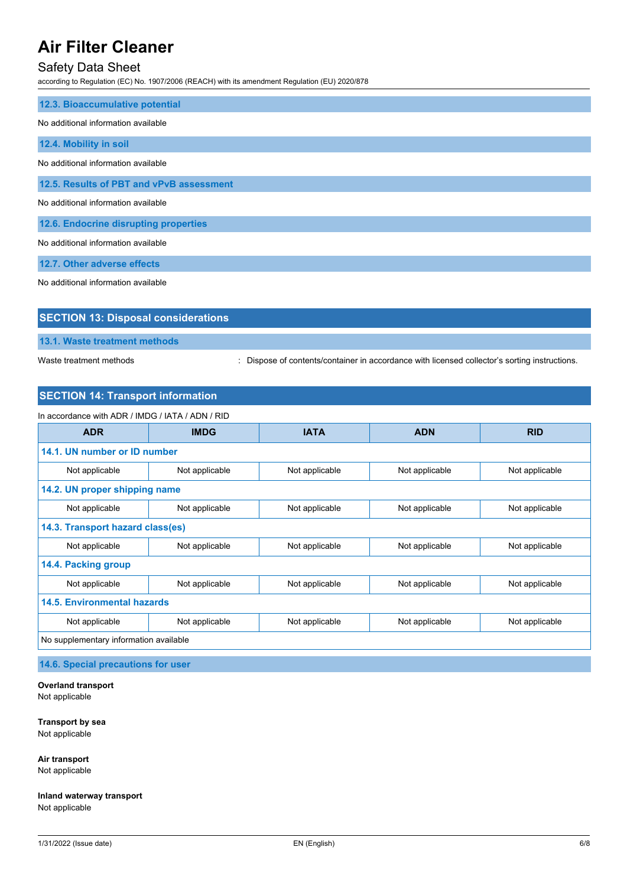## Safety Data Sheet

according to Regulation (EC) No. 1907/2006 (REACH) with its amendment Regulation (EU) 2020/878

| 12.3. Bioaccumulative potential          |
|------------------------------------------|
| No additional information available      |
| 12.4. Mobility in soil                   |
| No additional information available      |
| 12.5. Results of PBT and vPvB assessment |
| No additional information available      |
| 12.6. Endocrine disrupting properties    |
| No additional information available      |
| 12.7. Other adverse effects              |

No additional information available

| <b>SECTION 13: Disposal considerations</b> |
|--------------------------------------------|
|                                            |
| 13.1. Waste treatment methods              |
|                                            |

Waste treatment methods : Dispose of contents/container in accordance with licensed collector's sorting instructions.

## **SECTION 14: Transport information**

| In accordance with ADR / IMDG / IATA / ADN / RID |                |                |                |                |
|--------------------------------------------------|----------------|----------------|----------------|----------------|
| <b>ADR</b>                                       | <b>IMDG</b>    | <b>IATA</b>    | <b>ADN</b>     | <b>RID</b>     |
| 14.1. UN number or ID number                     |                |                |                |                |
| Not applicable                                   | Not applicable | Not applicable | Not applicable | Not applicable |
| 14.2. UN proper shipping name                    |                |                |                |                |
| Not applicable                                   | Not applicable | Not applicable | Not applicable | Not applicable |
| 14.3. Transport hazard class(es)                 |                |                |                |                |
| Not applicable                                   | Not applicable | Not applicable | Not applicable | Not applicable |
| 14.4. Packing group                              |                |                |                |                |
| Not applicable                                   | Not applicable | Not applicable | Not applicable | Not applicable |
| <b>14.5. Environmental hazards</b>               |                |                |                |                |
| Not applicable                                   | Not applicable | Not applicable | Not applicable | Not applicable |
| No supplementary information available           |                |                |                |                |

**14.6. Special precautions for user**

**Overland transport** Not applicable

**Transport by sea**

Not applicable

**Air transport** Not applicable

**Inland waterway transport** Not applicable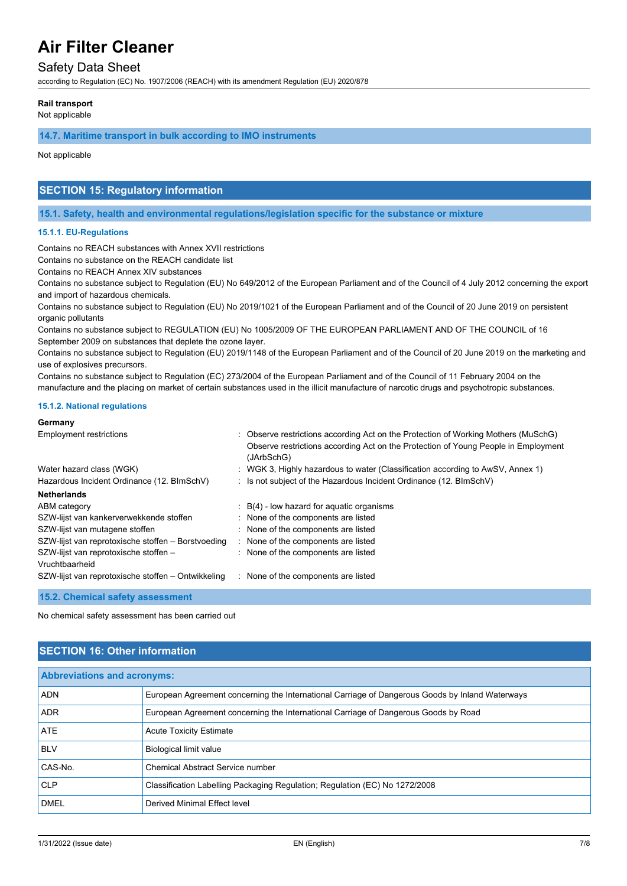## Safety Data Sheet

according to Regulation (EC) No. 1907/2006 (REACH) with its amendment Regulation (EU) 2020/878

#### **Rail transport**

Not applicable

**14.7. Maritime transport in bulk according to IMO instruments**

Not applicable

## **SECTION 15: Regulatory information**

**15.1. Safety, health and environmental regulations/legislation specific for the substance or mixture**

#### **15.1.1. EU-Regulations**

Contains no REACH substances with Annex XVII restrictions

Contains no substance on the REACH candidate list

Contains no REACH Annex XIV substances

Contains no substance subject to Regulation (EU) No 649/2012 of the European Parliament and of the Council of 4 July 2012 concerning the export and import of hazardous chemicals.

Contains no substance subject to Regulation (EU) No 2019/1021 of the European Parliament and of the Council of 20 June 2019 on persistent organic pollutants

Contains no substance subject to REGULATION (EU) No 1005/2009 OF THE EUROPEAN PARLIAMENT AND OF THE COUNCIL of 16 September 2009 on substances that deplete the ozone layer.

Contains no substance subject to Regulation (EU) 2019/1148 of the European Parliament and of the Council of 20 June 2019 on the marketing and use of explosives precursors.

Contains no substance subject to Regulation (EC) 273/2004 of the European Parliament and of the Council of 11 February 2004 on the manufacture and the placing on market of certain substances used in the illicit manufacture of narcotic drugs and psychotropic substances.

#### **15.1.2. National regulations**

**Germany**

| <b>PELLIQUY</b>                                         |                                                                                                                                                                                        |
|---------------------------------------------------------|----------------------------------------------------------------------------------------------------------------------------------------------------------------------------------------|
| <b>Employment restrictions</b>                          | : Observe restrictions according Act on the Protection of Working Mothers (MuSchG)<br>Observe restrictions according Act on the Protection of Young People in Employment<br>(JArbSchG) |
| Water hazard class (WGK)                                | : WGK 3, Highly hazardous to water (Classification according to AwSV, Annex 1)                                                                                                         |
| Hazardous Incident Ordinance (12. BImSchV)              | : Is not subject of the Hazardous Incident Ordinance (12. BImSchV)                                                                                                                     |
| <b>Netherlands</b>                                      |                                                                                                                                                                                        |
| ABM category                                            | $B(4)$ - low hazard for aquatic organisms                                                                                                                                              |
| SZW-lijst van kankerverwekkende stoffen                 | : None of the components are listed                                                                                                                                                    |
| SZW-lijst van mutagene stoffen                          | : None of the components are listed                                                                                                                                                    |
| SZW-lijst van reprotoxische stoffen - Borstvoeding      | : None of the components are listed                                                                                                                                                    |
| SZW-lijst van reprotoxische stoffen -<br>Vruchtbaarheid | : None of the components are listed                                                                                                                                                    |
| SZW-lijst van reprotoxische stoffen - Ontwikkeling      | : None of the components are listed                                                                                                                                                    |
| 15.2. Chemical safety assessment                        |                                                                                                                                                                                        |

No chemical safety assessment has been carried out

## **SECTION 16: Other information**

| <b>Abbreviations and acronyms:</b> |                                                                                                 |  |
|------------------------------------|-------------------------------------------------------------------------------------------------|--|
| <b>ADN</b>                         | European Agreement concerning the International Carriage of Dangerous Goods by Inland Waterways |  |
| <b>ADR</b>                         | European Agreement concerning the International Carriage of Dangerous Goods by Road             |  |
| <b>ATE</b>                         | <b>Acute Toxicity Estimate</b>                                                                  |  |
| <b>BLV</b>                         | <b>Biological limit value</b>                                                                   |  |
| CAS-No.                            | Chemical Abstract Service number                                                                |  |
| <b>CLP</b>                         | Classification Labelling Packaging Regulation; Regulation (EC) No 1272/2008                     |  |
| <b>DMEL</b>                        | Derived Minimal Effect level                                                                    |  |